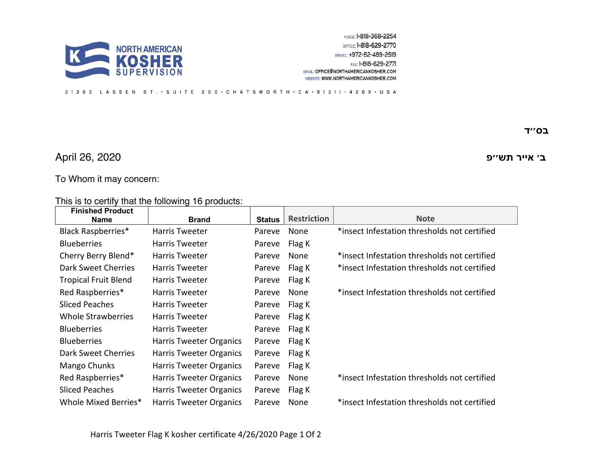

## 21363 LASSEN ST. · SUITE 200 · CHATSWORTH · CA · 91311 - 4289 · USA

## **רייא ׳ב שת פ׳׳** 2020 26, April

 **סב '' ד**

## To Whom it may concern:

This is to certify that the following 16 products:

| <b>Brand</b>            | <b>Status</b> |        | <b>Note</b>                                  |
|-------------------------|---------------|--------|----------------------------------------------|
| Harris Tweeter          | Pareve        | None   | *insect Infestation thresholds not certified |
| <b>Harris Tweeter</b>   | Pareve        | Flag K |                                              |
| Harris Tweeter          | Pareve        | None   | *insect Infestation thresholds not certified |
| <b>Harris Tweeter</b>   | Pareve        | Flag K | *insect Infestation thresholds not certified |
| Harris Tweeter          | Pareve        | Flag K |                                              |
| <b>Harris Tweeter</b>   | Pareve        | None   | *insect Infestation thresholds not certified |
| Harris Tweeter          | Pareve        | Flag K |                                              |
| Harris Tweeter          | Pareve        | Flag K |                                              |
| <b>Harris Tweeter</b>   | Pareve        |        |                                              |
| Harris Tweeter Organics | Pareve        | Flag K |                                              |
| Harris Tweeter Organics | Pareve        | Flag K |                                              |
| Harris Tweeter Organics | Pareve        | Flag K |                                              |
| Harris Tweeter Organics | Pareve        | None   | *insect Infestation thresholds not certified |
| Harris Tweeter Organics | Pareve        | Flag K |                                              |
| Harris Tweeter Organics | Pareve        | None   | *insect Infestation thresholds not certified |
|                         |               |        | <b>Restriction</b><br>Flag K                 |